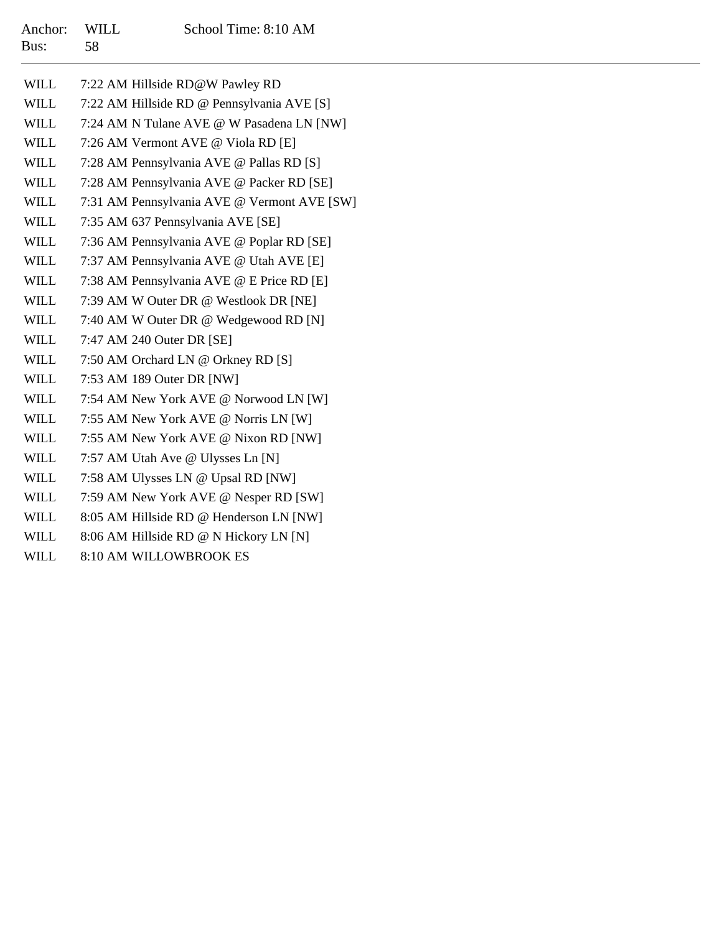| Anchor: WILL |     | School Time: 8:10 AM |
|--------------|-----|----------------------|
| Bus:         | -58 |                      |

| WILL        | 7:22 AM Hillside RD@W Pawley RD             |
|-------------|---------------------------------------------|
| WILL        | 7:22 AM Hillside RD @ Pennsylvania AVE [S]  |
| WILL        | 7:24 AM N Tulane AVE @ W Pasadena LN [NW]   |
| WILL        | 7:26 AM Vermont AVE @ Viola RD [E]          |
| WILL        | 7:28 AM Pennsylvania AVE @ Pallas RD [S]    |
| WILL        | 7:28 AM Pennsylvania AVE @ Packer RD [SE]   |
| WILL        | 7:31 AM Pennsylvania AVE @ Vermont AVE [SW] |
| WILL        | 7:35 AM 637 Pennsylvania AVE [SE]           |
| WILL        | 7:36 AM Pennsylvania AVE @ Poplar RD [SE]   |
| WILL        | 7:37 AM Pennsylvania AVE @ Utah AVE [E]     |
| WILL        | 7:38 AM Pennsylvania AVE @ E Price RD [E]   |
| WILL        | 7:39 AM W Outer DR @ Westlook DR [NE]       |
| WILL        | 7:40 AM W Outer DR @ Wedgewood RD [N]       |
| WILL        | 7:47 AM 240 Outer DR [SE]                   |
| WILL        | 7:50 AM Orchard LN @ Orkney RD [S]          |
| WILL        | 7:53 AM 189 Outer DR [NW]                   |
| WILL        | 7:54 AM New York AVE @ Norwood LN [W]       |
| WILL        | 7:55 AM New York AVE @ Norris LN [W]        |
| WILL        | 7:55 AM New York AVE @ Nixon RD [NW]        |
| WILL        | 7:57 AM Utah Ave @ Ulysses Ln [N]           |
| WILL        | 7:58 AM Ulysses LN @ Upsal RD [NW]          |
| WILL        | 7:59 AM New York AVE @ Nesper RD [SW]       |
| WILL        | 8:05 AM Hillside RD @ Henderson LN [NW]     |
| WILL        | 8:06 AM Hillside RD @ N Hickory LN [N]      |
| <b>WILL</b> | 8:10 AM WILLOWBROOK ES                      |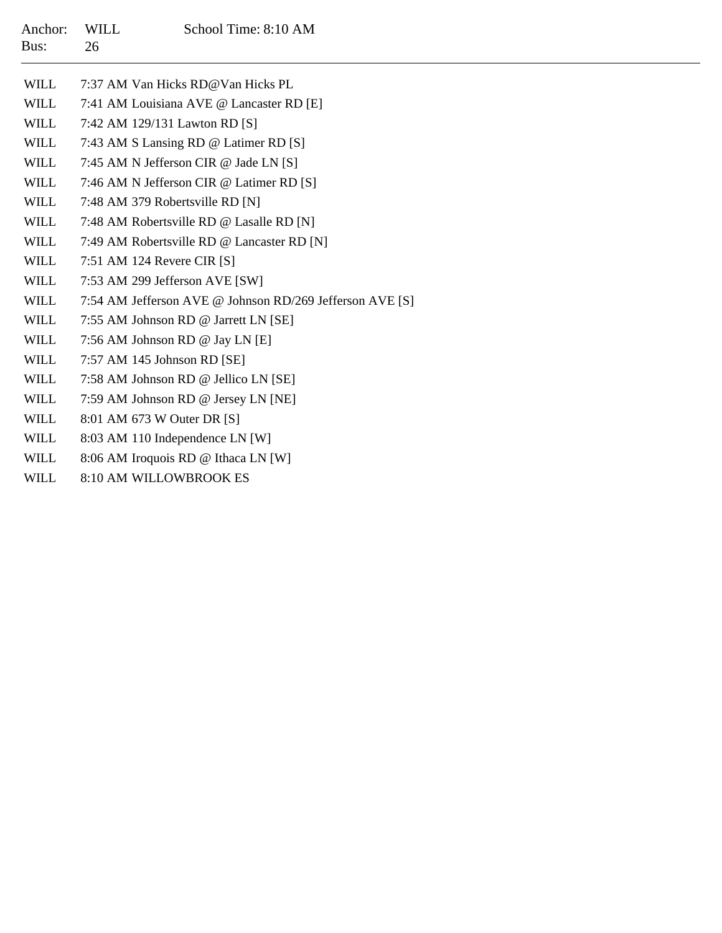| Anchor: WILL<br>Bus: | 26. | School Time: 8:10 AM              |
|----------------------|-----|-----------------------------------|
| WILL.                |     | 7:37 AM Van Hicks RD@Van Hicks PL |

| <b>WILL</b> | 7:41 AM Louisiana AVE @ Lancaster RD [E]                 |
|-------------|----------------------------------------------------------|
| WILL        | 7:42 AM 129/131 Lawton RD [S]                            |
| WILL        | 7:43 AM S Lansing RD @ Latimer RD [S]                    |
| <b>WILL</b> | 7:45 AM N Jefferson CIR @ Jade LN [S]                    |
| <b>WILL</b> | 7:46 AM N Jefferson CIR @ Latimer RD [S]                 |
| <b>WILL</b> | 7:48 AM 379 Robertsville RD [N]                          |
| WILL        | 7:48 AM Robertsville RD @ Lasalle RD [N]                 |
| WILL        | 7:49 AM Robertsville RD @ Lancaster RD [N]               |
| WILL        | 7:51 AM 124 Revere CIR $[S]$                             |
| WILL        | 7:53 AM 299 Jefferson AVE [SW]                           |
| WILL        | 7:54 AM Jefferson AVE @ Johnson RD/269 Jefferson AVE [S] |
| WILL        | 7:55 AM Johnson RD @ Jarrett LN [SE]                     |
| <b>WILL</b> | 7:56 AM Johnson RD @ Jay LN [E]                          |
| WILL        | 7:57 AM 145 Johnson RD [SE]                              |
| WILL        | 7:58 AM Johnson RD @ Jellico LN [SE]                     |
| WILL        | 7:59 AM Johnson RD @ Jersey LN [NE]                      |
| WILL        | 8:01 AM 673 W Outer DR [S]                               |
| WILL        | 8:03 AM 110 Independence LN [W]                          |
|             |                                                          |

- WILL8:06 AM Iroquois RD @ Ithaca LN [W]
- WILL8:10 AM WILLOWBROOK ES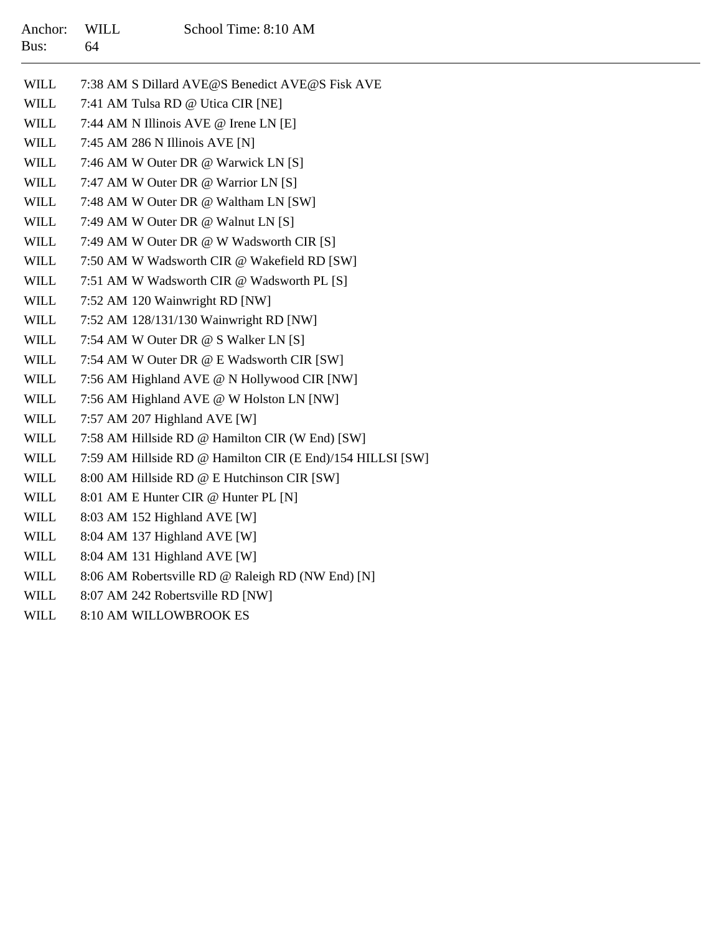| Anchor:<br>Bus: | <b>WILL</b><br>64 | School Time: 8:10 AM                                       |
|-----------------|-------------------|------------------------------------------------------------|
| WILL            |                   | 7:38 AM S Dillard AVE@S Benedict AVE@S Fisk AVE            |
| <b>WILL</b>     |                   | 7:41 AM Tulsa RD @ Utica CIR [NE]                          |
| <b>WILL</b>     |                   | 7:44 AM N Illinois AVE @ Irene LN [E]                      |
| <b>WILL</b>     |                   | 7:45 AM 286 N Illinois AVE [N]                             |
| <b>WILL</b>     |                   | 7:46 AM W Outer DR @ Warwick LN [S]                        |
| <b>WILL</b>     |                   | 7:47 AM W Outer DR @ Warrior LN [S]                        |
| <b>WILL</b>     |                   | 7:48 AM W Outer DR @ Waltham LN [SW]                       |
| <b>WILL</b>     |                   | 7:49 AM W Outer DR @ Walnut LN [S]                         |
| <b>WILL</b>     |                   | 7:49 AM W Outer DR @ W Wadsworth CIR [S]                   |
| <b>WILL</b>     |                   | 7:50 AM W Wadsworth CIR @ Wakefield RD [SW]                |
| <b>WILL</b>     |                   | 7:51 AM W Wadsworth CIR @ Wadsworth PL [S]                 |
| <b>WILL</b>     |                   | 7:52 AM 120 Wainwright RD [NW]                             |
| <b>WILL</b>     |                   | 7:52 AM 128/131/130 Wainwright RD [NW]                     |
| <b>WILL</b>     |                   | 7:54 AM W Outer DR @ S Walker LN [S]                       |
| <b>WILL</b>     |                   | 7:54 AM W Outer DR @ E Wadsworth CIR [SW]                  |
| <b>WILL</b>     |                   | 7:56 AM Highland AVE @ N Hollywood CIR [NW]                |
| <b>WILL</b>     |                   | 7:56 AM Highland AVE @ W Holston LN [NW]                   |
| <b>WILL</b>     |                   | 7:57 AM 207 Highland AVE [W]                               |
| <b>WILL</b>     |                   | 7:58 AM Hillside RD @ Hamilton CIR (W End) [SW]            |
| <b>WILL</b>     |                   | 7:59 AM Hillside RD @ Hamilton CIR (E End)/154 HILLSI [SW] |
| <b>WILL</b>     |                   | 8:00 AM Hillside RD @ E Hutchinson CIR [SW]                |
| <b>WILL</b>     |                   | 8:01 AM E Hunter CIR @ Hunter PL [N]                       |
| <b>WILL</b>     |                   | 8:03 AM 152 Highland AVE [W]                               |
| <b>WILL</b>     |                   | 8:04 AM 137 Highland AVE [W]                               |
| <b>WILL</b>     |                   | 8:04 AM 131 Highland AVE [W]                               |
| <b>WILL</b>     |                   | 8:06 AM Robertsville RD @ Raleigh RD (NW End) [N]          |
| <b>WILL</b>     |                   | 8:07 AM 242 Robertsville RD INW1                           |

WILL8:10 AM WILLOWBROOK ES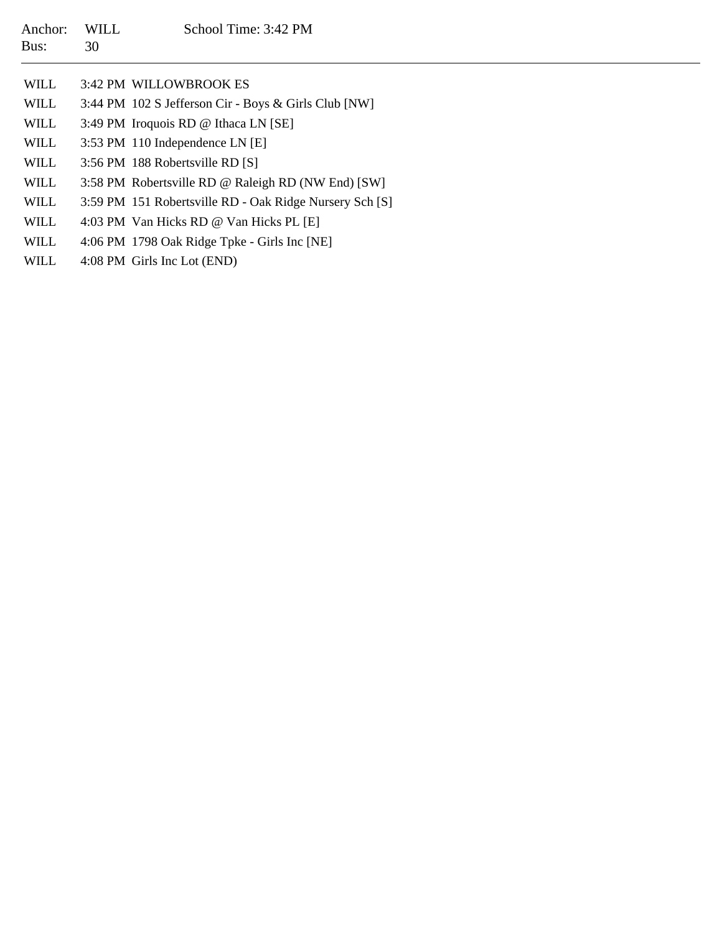| Anchor:<br>Bus: | <b>WILL</b><br>30 | School Time: 3:42 PM                                    |
|-----------------|-------------------|---------------------------------------------------------|
| <b>WILL</b>     |                   | 3:42 PM WILLOWBROOK ES                                  |
| WILL            |                   | 3:44 PM 102 S Jefferson Cir - Boys & Girls Club [NW]    |
| WILL            |                   | 3:49 PM Iroquois RD @ Ithaca LN [SE]                    |
| WILL            |                   | 3:53 PM 110 Independence LN [E]                         |
| WILL            |                   | 3:56 PM 188 Robertsville RD [S]                         |
| WILL            |                   | 3:58 PM Robertsville RD @ Raleigh RD (NW End) [SW]      |
| WILL            |                   | 3:59 PM 151 Robertsville RD - Oak Ridge Nursery Sch [S] |
| WILL            |                   | 4:03 PM Van Hicks RD @ Van Hicks PL [E]                 |
| WILL            |                   | 4:06 PM 1798 Oak Ridge Tpke - Girls Inc [NE]            |
| <b>WILL</b>     |                   | 4:08 PM Girls Inc Lot (END)                             |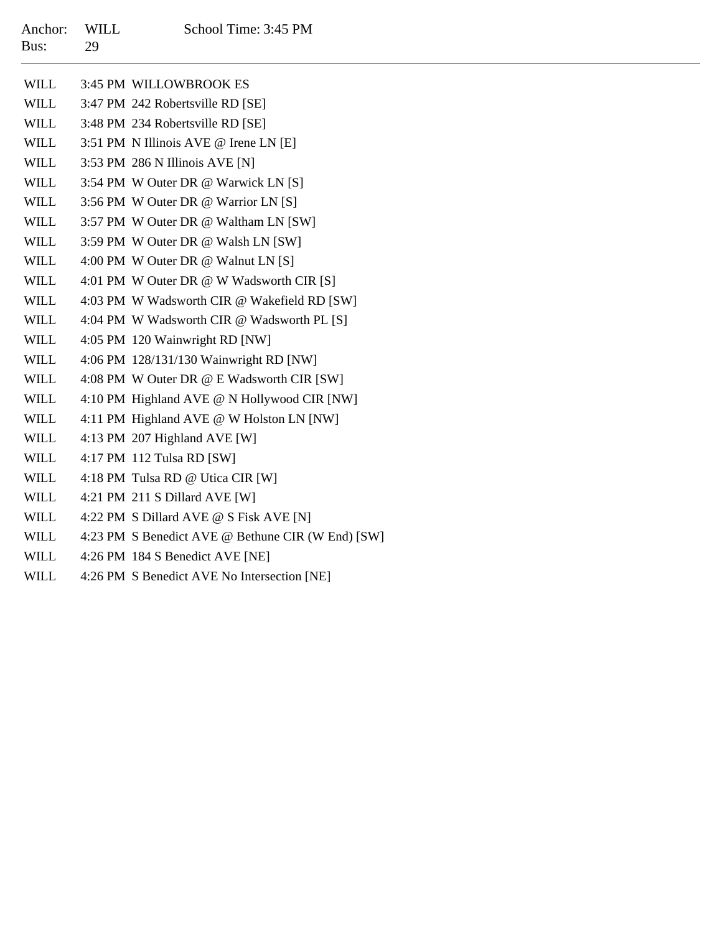| WILL        | 3:45 PM WILLOWBROOK ES                            |
|-------------|---------------------------------------------------|
| WILL        | 3:47 PM 242 Robertsville RD [SE]                  |
| WILL        | 3:48 PM 234 Robertsville RD [SE]                  |
| WILL        | 3:51 PM N Illinois AVE @ Irene LN [E]             |
| WILL        | 3:53 PM 286 N Illinois AVE [N]                    |
| WILL        | 3:54 PM W Outer DR @ Warwick LN [S]               |
| WILL        | 3:56 PM W Outer DR @ Warrior LN [S]               |
| WILL        | 3:57 PM W Outer DR @ Waltham LN [SW]              |
| WILL        | 3:59 PM W Outer DR @ Walsh LN [SW]                |
| WILL        | 4:00 PM W Outer DR @ Walnut LN [S]                |
| WILL        | 4:01 PM W Outer DR @ W Wadsworth CIR [S]          |
| WILL        | 4:03 PM W Wadsworth CIR @ Wakefield RD [SW]       |
| WILL        | 4:04 PM W Wadsworth CIR @ Wadsworth PL [S]        |
| WILL        | 4:05 PM 120 Wainwright RD [NW]                    |
| WILL        | 4:06 PM 128/131/130 Wainwright RD [NW]            |
| WILL        | 4:08 PM W Outer DR @ E Wadsworth CIR [SW]         |
| WILL        | 4:10 PM Highland AVE @ N Hollywood CIR [NW]       |
| WILL        | 4:11 PM Highland AVE @ W Holston LN [NW]          |
| WILL        | 4:13 PM 207 Highland AVE [W]                      |
| WILL        | 4:17 PM 112 Tulsa RD [SW]                         |
| WILL        | 4:18 PM Tulsa RD @ Utica CIR [W]                  |
| WILL        | 4:21 PM 211 S Dillard AVE [W]                     |
| WILL        | 4:22 PM S Dillard AVE @ S Fisk AVE [N]            |
| WILL        | 4:23 PM S Benedict AVE @ Bethune CIR (W End) [SW] |
| <b>WILL</b> | 4:26 PM 184 S Benedict AVE [NE]                   |

WILL4:26 PM S Benedict AVE No Intersection [NE]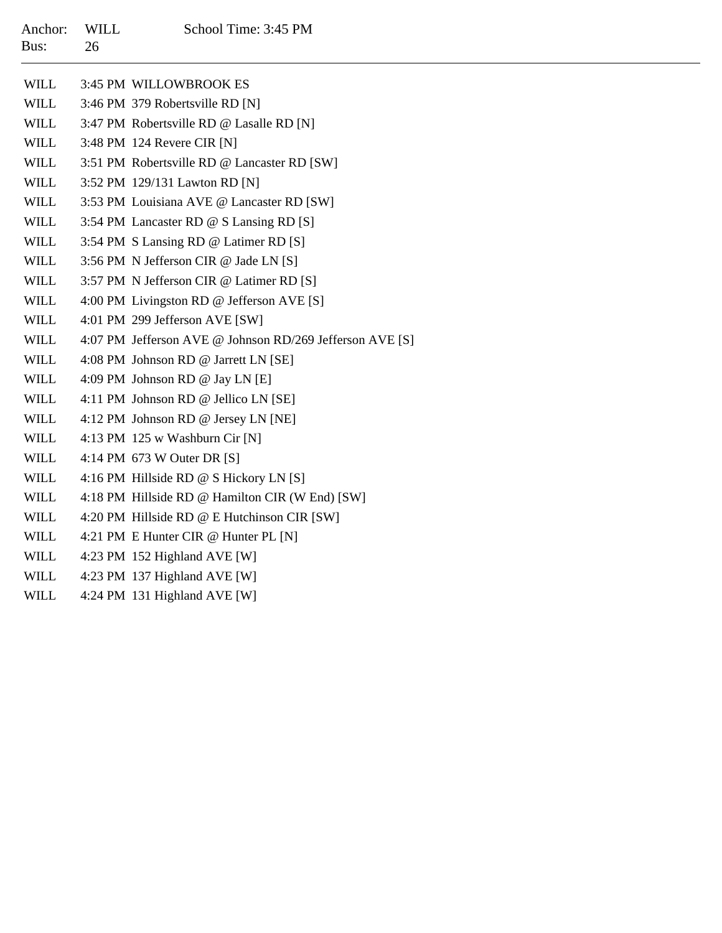| Anchor:<br>Bus: | WILL<br>26 | School Time: 3:45 PM                        |
|-----------------|------------|---------------------------------------------|
| WILL            |            | 3:45 PM WILLOWBROOK ES                      |
| WILL            |            | 3:46 PM 379 Robertsville RD [N]             |
| WILL            |            | 3:47 PM Robertsville RD @ Lasalle RD [N]    |
| WILL            |            | 3:48 PM 124 Revere CIR [N]                  |
| WILL.           |            | 3:51 PM Robertsville RD @ Lancaster RD [SW] |

- WILL3:52 PM 129/131 Lawton RD [N]
- WILL3:53 PM Louisiana AVE @ Lancaster RD [SW]
- WILL3:54 PM Lancaster RD @ S Lansing RD [S]
- WILL3:54 PM S Lansing RD @ Latimer RD [S]
- WILL3:56 PM N Jefferson CIR @ Jade LN [S]
- WILL3:57 PM N Jefferson CIR @ Latimer RD [S]
- WILL4:00 PM Livingston RD @ Jefferson AVE [S]
- WILL4:01 PM 299 Jefferson AVE [SW]
- WILL4:07 PM Jefferson AVE @ Johnson RD/269 Jefferson AVE [S]
- WILL4:08 PM Johnson RD @ Jarrett LN [SE]
- WILL4:09 PM Johnson RD @ Jay LN [E]
- WILL4:11 PM Johnson RD @ Jellico LN [SE]
- WILL4:12 PM Johnson RD @ Jersey LN [NE]
- WILL4:13 PM 125 w Washburn Cir [N]
- WILL4:14 PM 673 W Outer DR [S]
- WILL4:16 PM Hillside RD @ S Hickory LN [S]
- WILL4:18 PM Hillside RD @ Hamilton CIR (W End) [SW]
- WILL4:20 PM Hillside RD @ E Hutchinson CIR [SW]
- WILL4:21 PM E Hunter CIR @ Hunter PL [N]
- WILL4:23 PM 152 Highland AVE [W]
- WILL4:23 PM 137 Highland AVE [W]
- WILL4:24 PM 131 Highland AVE [W]